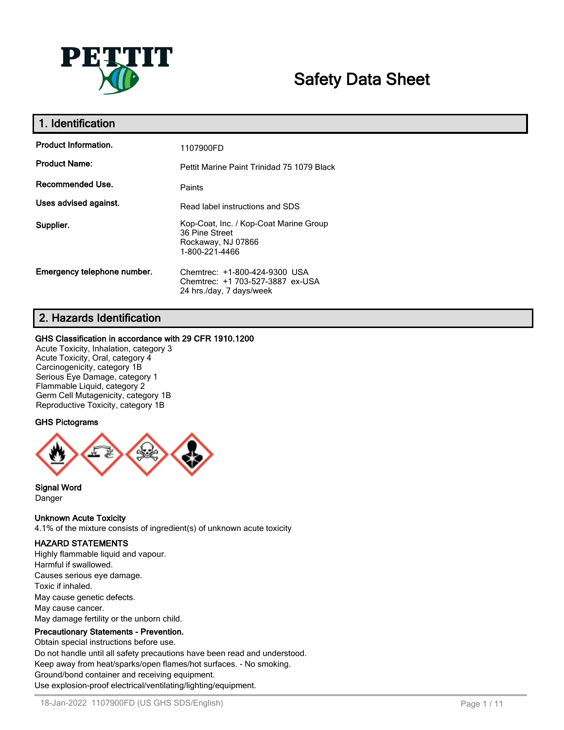

# **Safety Data Sheet**

| 1. Identification           |                                                                                                  |  |  |
|-----------------------------|--------------------------------------------------------------------------------------------------|--|--|
| <b>Product Information.</b> | 1107900FD                                                                                        |  |  |
| <b>Product Name:</b>        | Pettit Marine Paint Trinidad 75 1079 Black                                                       |  |  |
| Recommended Use.            | Paints                                                                                           |  |  |
| Uses advised against.       | Read label instructions and SDS                                                                  |  |  |
| Supplier.                   | Kop-Coat, Inc. / Kop-Coat Marine Group<br>36 Pine Street<br>Rockaway, NJ 07866<br>1-800-221-4466 |  |  |
| Emergency telephone number. | Chemtrec: +1-800-424-9300 USA<br>Chemtrec: +1 703-527-3887 ex-USA<br>24 hrs./day, 7 days/week    |  |  |

# **2. Hazards Identification**

#### **GHS Classification in accordance with 29 CFR 1910.1200**

Acute Toxicity, Inhalation, category 3 Acute Toxicity, Oral, category 4 Carcinogenicity, category 1B Serious Eye Damage, category 1 Flammable Liquid, category 2 Germ Cell Mutagenicity, category 1B Reproductive Toxicity, category 1B

## **GHS Pictograms**



#### **Signal Word** Danger

## **Unknown Acute Toxicity**

4.1% of the mixture consists of ingredient(s) of unknown acute toxicity

# **HAZARD STATEMENTS**

Highly flammable liquid and vapour. Harmful if swallowed. Causes serious eye damage. Toxic if inhaled. May cause genetic defects. May cause cancer. May damage fertility or the unborn child.

# **Precautionary Statements - Prevention.**

Obtain special instructions before use. Do not handle until all safety precautions have been read and understood. Keep away from heat/sparks/open flames/hot surfaces. - No smoking. Ground/bond container and receiving equipment. Use explosion-proof electrical/ventilating/lighting/equipment.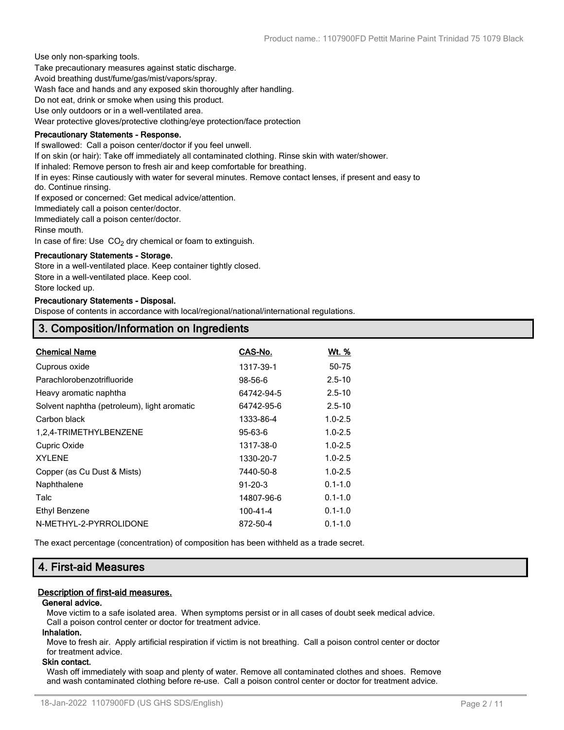Use only non-sparking tools.

Take precautionary measures against static discharge.

Avoid breathing dust/fume/gas/mist/vapors/spray.

Wash face and hands and any exposed skin thoroughly after handling.

Do not eat, drink or smoke when using this product.

Use only outdoors or in a well-ventilated area.

Wear protective gloves/protective clothing/eye protection/face protection

#### **Precautionary Statements - Response.**

If swallowed: Call a poison center/doctor if you feel unwell.

If on skin (or hair): Take off immediately all contaminated clothing. Rinse skin with water/shower.

If inhaled: Remove person to fresh air and keep comfortable for breathing.

If in eyes: Rinse cautiously with water for several minutes. Remove contact lenses, if present and easy to

do. Continue rinsing.

If exposed or concerned: Get medical advice/attention.

Immediately call a poison center/doctor.

Immediately call a poison center/doctor.

Rinse mouth.

In case of fire: Use  $CO<sub>2</sub>$  dry chemical or foam to extinguish.

#### **Precautionary Statements - Storage.**

Store in a well-ventilated place. Keep container tightly closed. Store in a well-ventilated place. Keep cool.

Store locked up.

#### **Precautionary Statements - Disposal.**

Dispose of contents in accordance with local/regional/national/international regulations.

# **3. Composition/Information on Ingredients**

| <b>Chemical Name</b>                        | CAS-No.       | <u>Wt. %</u> |
|---------------------------------------------|---------------|--------------|
| Cuprous oxide                               | 1317-39-1     | 50-75        |
| Parachlorobenzotrifluoride                  | 98-56-6       | $2.5 - 10$   |
| Heavy aromatic naphtha                      | 64742-94-5    | $2.5 - 10$   |
| Solvent naphtha (petroleum), light aromatic | 64742-95-6    | $2.5 - 10$   |
| Carbon black                                | 1333-86-4     | $1.0 - 2.5$  |
| 1,2,4-TRIMETHYLBENZENE                      | $95 - 63 - 6$ | $1.0 - 2.5$  |
| Cupric Oxide                                | 1317-38-0     | $1.0 - 2.5$  |
| <b>XYLENE</b>                               | 1330-20-7     | $1.0 - 2.5$  |
| Copper (as Cu Dust & Mists)                 | 7440-50-8     | $1.0 - 2.5$  |
| Naphthalene                                 | $91 - 20 - 3$ | $0.1 - 1.0$  |
| Talc                                        | 14807-96-6    | $0.1 - 1.0$  |
| Ethyl Benzene                               | 100-41-4      | $0.1 - 1.0$  |
| N-METHYL-2-PYRROLIDONE                      | 872-50-4      | $0.1 - 1.0$  |
|                                             |               |              |

The exact percentage (concentration) of composition has been withheld as a trade secret.

# **4. First-aid Measures**

## **Description of first-aid measures.**

#### **General advice.**

Move victim to a safe isolated area. When symptoms persist or in all cases of doubt seek medical advice. Call a poison control center or doctor for treatment advice.

#### **Inhalation.**

Move to fresh air. Apply artificial respiration if victim is not breathing. Call a poison control center or doctor for treatment advice.

#### **Skin contact.**

Wash off immediately with soap and plenty of water. Remove all contaminated clothes and shoes. Remove and wash contaminated clothing before re-use. Call a poison control center or doctor for treatment advice.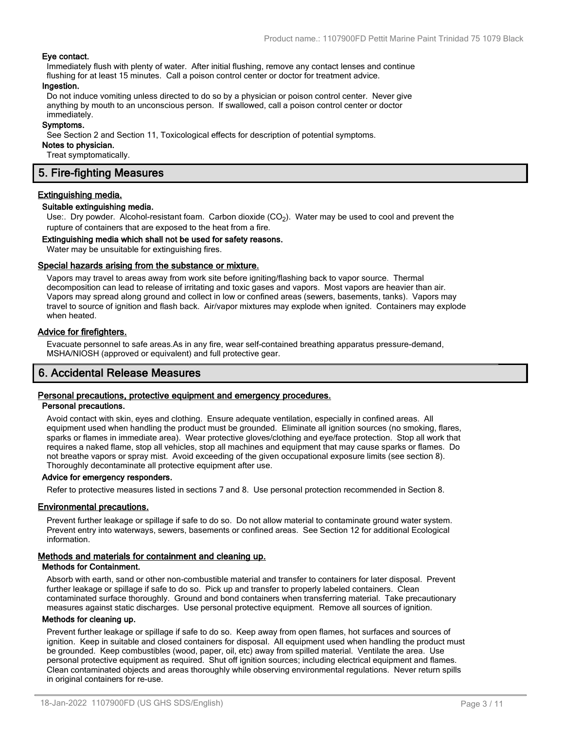#### **Eye contact.**

Immediately flush with plenty of water. After initial flushing, remove any contact lenses and continue flushing for at least 15 minutes. Call a poison control center or doctor for treatment advice.

#### **Ingestion.**

Do not induce vomiting unless directed to do so by a physician or poison control center. Never give anything by mouth to an unconscious person. If swallowed, call a poison control center or doctor immediately.

#### **Symptoms.**

See Section 2 and Section 11, Toxicological effects for description of potential symptoms.

#### **Notes to physician.**

Treat symptomatically.

# **5. Fire-fighting Measures**

#### **Extinguishing media.**

#### **Suitable extinguishing media.**

Use:. Dry powder. Alcohol-resistant foam. Carbon dioxide  $(CO<sub>2</sub>)$ . Water may be used to cool and prevent the rupture of containers that are exposed to the heat from a fire.

#### **Extinguishing media which shall not be used for safety reasons.**

Water may be unsuitable for extinguishing fires.

#### **Special hazards arising from the substance or mixture.**

Vapors may travel to areas away from work site before igniting/flashing back to vapor source. Thermal decomposition can lead to release of irritating and toxic gases and vapors. Most vapors are heavier than air. Vapors may spread along ground and collect in low or confined areas (sewers, basements, tanks). Vapors may travel to source of ignition and flash back. Air/vapor mixtures may explode when ignited. Containers may explode when heated.

#### **Advice for firefighters.**

Evacuate personnel to safe areas.As in any fire, wear self-contained breathing apparatus pressure-demand, MSHA/NIOSH (approved or equivalent) and full protective gear.

# **6. Accidental Release Measures**

# **Personal precautions, protective equipment and emergency procedures.**

## **Personal precautions.**

Avoid contact with skin, eyes and clothing. Ensure adequate ventilation, especially in confined areas. All equipment used when handling the product must be grounded. Eliminate all ignition sources (no smoking, flares, sparks or flames in immediate area). Wear protective gloves/clothing and eye/face protection. Stop all work that requires a naked flame, stop all vehicles, stop all machines and equipment that may cause sparks or flames. Do not breathe vapors or spray mist. Avoid exceeding of the given occupational exposure limits (see section 8). Thoroughly decontaminate all protective equipment after use.

#### **Advice for emergency responders.**

Refer to protective measures listed in sections 7 and 8. Use personal protection recommended in Section 8.

#### **Environmental precautions.**

Prevent further leakage or spillage if safe to do so. Do not allow material to contaminate ground water system. Prevent entry into waterways, sewers, basements or confined areas. See Section 12 for additional Ecological information.

#### **Methods and materials for containment and cleaning up.**

#### **Methods for Containment.**

Absorb with earth, sand or other non-combustible material and transfer to containers for later disposal. Prevent further leakage or spillage if safe to do so. Pick up and transfer to properly labeled containers. Clean contaminated surface thoroughly. Ground and bond containers when transferring material. Take precautionary measures against static discharges. Use personal protective equipment. Remove all sources of ignition.

#### **Methods for cleaning up.**

Prevent further leakage or spillage if safe to do so. Keep away from open flames, hot surfaces and sources of ignition. Keep in suitable and closed containers for disposal. All equipment used when handling the product must be grounded. Keep combustibles (wood, paper, oil, etc) away from spilled material. Ventilate the area. Use personal protective equipment as required. Shut off ignition sources; including electrical equipment and flames. Clean contaminated objects and areas thoroughly while observing environmental regulations. Never return spills in original containers for re-use.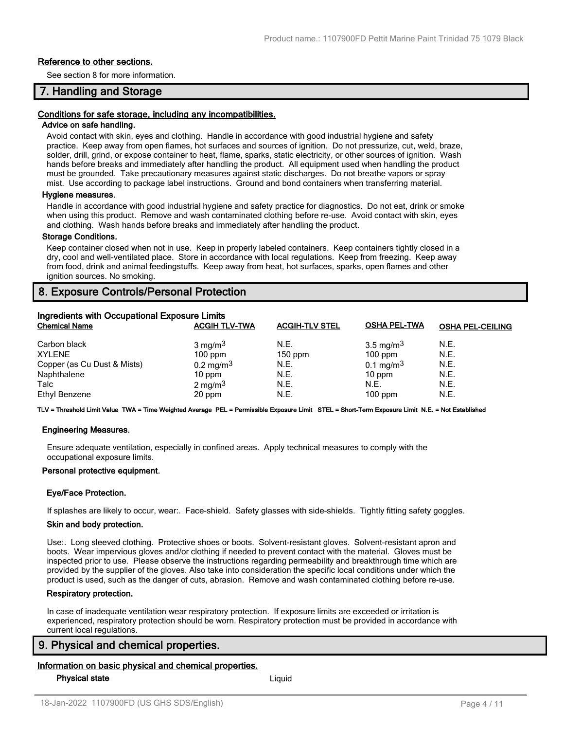#### **Reference to other sections.**

See section 8 for more information.

# **7. Handling and Storage**

#### **Conditions for safe storage, including any incompatibilities.**

#### **Advice on safe handling.**

Avoid contact with skin, eyes and clothing. Handle in accordance with good industrial hygiene and safety practice. Keep away from open flames, hot surfaces and sources of ignition. Do not pressurize, cut, weld, braze, solder, drill, grind, or expose container to heat, flame, sparks, static electricity, or other sources of ignition. Wash hands before breaks and immediately after handling the product. All equipment used when handling the product must be grounded. Take precautionary measures against static discharges. Do not breathe vapors or spray mist. Use according to package label instructions. Ground and bond containers when transferring material.

#### **Hygiene measures.**

Handle in accordance with good industrial hygiene and safety practice for diagnostics. Do not eat, drink or smoke when using this product. Remove and wash contaminated clothing before re-use. Avoid contact with skin, eyes and clothing. Wash hands before breaks and immediately after handling the product.

#### **Storage Conditions.**

Keep container closed when not in use. Keep in properly labeled containers. Keep containers tightly closed in a dry, cool and well-ventilated place. Store in accordance with local regulations. Keep from freezing. Keep away from food, drink and animal feedingstuffs. Keep away from heat, hot surfaces, sparks, open flames and other ignition sources. No smoking.

# **8. Exposure Controls/Personal Protection**

| <b>Ingredients with Occupational Exposure Limits</b> |                         |                       |                       |                         |  |
|------------------------------------------------------|-------------------------|-----------------------|-----------------------|-------------------------|--|
| <b>Chemical Name</b>                                 | <b>ACGIH TLV-TWA</b>    | <b>ACGIH-TLV STEL</b> | <b>OSHA PEL-TWA</b>   | <b>OSHA PEL-CEILING</b> |  |
| Carbon black                                         | $3 \text{ mg/m}^3$      | N.E.                  | 3.5 mg/m <sup>3</sup> | N.E.                    |  |
| <b>XYLENE</b>                                        | $100$ ppm               | $150$ ppm             | $100$ ppm             | N.E.                    |  |
| Copper (as Cu Dust & Mists)                          | $0.2 \,\mathrm{mg/m^3}$ | N.E.                  | $0.1 \text{ mg/m}^3$  | N.E.                    |  |
| Naphthalene                                          | $10$ ppm                | N.E.                  | $10$ ppm              | N.E.                    |  |
| Talc                                                 | 2 mg/m $3$              | N.E.                  | N.E.                  | N.E.                    |  |
| Ethyl Benzene                                        | 20 ppm                  | N.E.                  | $100$ ppm             | N.E.                    |  |

**TLV = Threshold Limit Value TWA = Time Weighted Average PEL = Permissible Exposure Limit STEL = Short-Term Exposure Limit N.E. = Not Established**

#### **Engineering Measures.**

Ensure adequate ventilation, especially in confined areas. Apply technical measures to comply with the occupational exposure limits.

#### **Personal protective equipment.**

#### **Eye/Face Protection.**

If splashes are likely to occur, wear:. Face-shield. Safety glasses with side-shields. Tightly fitting safety goggles.

#### **Skin and body protection.**

Use:. Long sleeved clothing. Protective shoes or boots. Solvent-resistant gloves. Solvent-resistant apron and boots. Wear impervious gloves and/or clothing if needed to prevent contact with the material. Gloves must be inspected prior to use. Please observe the instructions regarding permeability and breakthrough time which are provided by the supplier of the gloves. Also take into consideration the specific local conditions under which the product is used, such as the danger of cuts, abrasion. Remove and wash contaminated clothing before re-use.

#### **Respiratory protection.**

In case of inadequate ventilation wear respiratory protection. If exposure limits are exceeded or irritation is experienced, respiratory protection should be worn. Respiratory protection must be provided in accordance with current local regulations.

## **9. Physical and chemical properties.**

#### **Information on basic physical and chemical properties.**

**Physical state** Liquid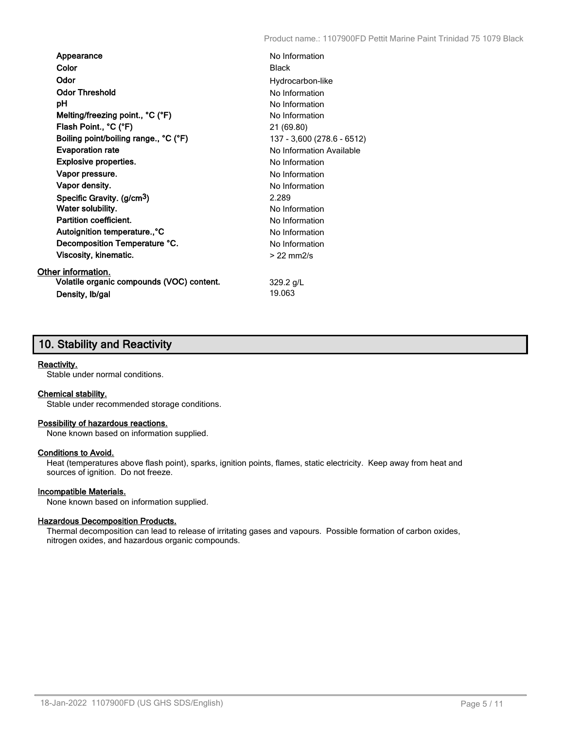| Appearance                                | No Information             |
|-------------------------------------------|----------------------------|
| Color                                     | <b>Black</b>               |
| Odor                                      | Hydrocarbon-like           |
| <b>Odor Threshold</b>                     | No Information             |
| рH                                        | No Information             |
| Melting/freezing point., °C (°F)          | No Information             |
| Flash Point., °C (°F)                     | 21 (69.80)                 |
| Boiling point/boiling range., °C (°F)     | 137 - 3,600 (278.6 - 6512) |
| <b>Evaporation rate</b>                   | No Information Available   |
| <b>Explosive properties.</b>              | No Information             |
| Vapor pressure.                           | No Information             |
| Vapor density.                            | No Information             |
| Specific Gravity. (g/cm <sup>3</sup> )    | 2.289                      |
| Water solubility.                         | No Information             |
| <b>Partition coefficient.</b>             | No Information             |
| Autoignition temperature., °C             | No Information             |
| Decomposition Temperature °C.             | No Information             |
| Viscosity, kinematic.                     | $>22$ mm $2/s$             |
| Other information.                        |                            |
| Volatile organic compounds (VOC) content. | $329.2$ g/L                |
| Density, Ib/gal                           | 19.063                     |

# **10. Stability and Reactivity**

#### **Reactivity.**

Stable under normal conditions.

#### **Chemical stability.**

Stable under recommended storage conditions.

## **Possibility of hazardous reactions.**

None known based on information supplied.

#### **Conditions to Avoid.**

Heat (temperatures above flash point), sparks, ignition points, flames, static electricity. Keep away from heat and sources of ignition. Do not freeze.

#### **Incompatible Materials.**

None known based on information supplied.

#### **Hazardous Decomposition Products.**

Thermal decomposition can lead to release of irritating gases and vapours. Possible formation of carbon oxides, nitrogen oxides, and hazardous organic compounds.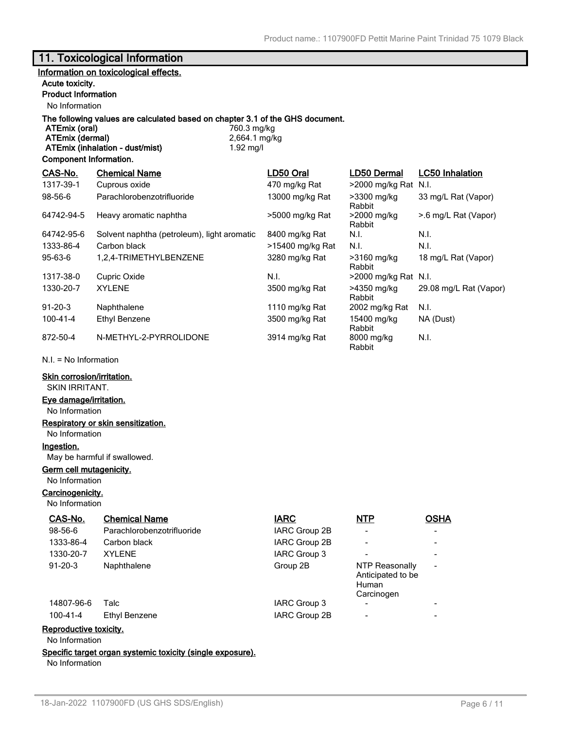# **11. Toxicological Information**

## **Information on toxicological effects.**

#### **Acute toxicity.**

# **Product Information**

No Information

# **The following values are calculated based on chapter 3.1 of the GHS document.**

**ATEmix (oral) ATEmix (dermal)** 2,664.1 mg/kg **ATEmix (inhalation - dust/mist)** 1.92 mg/l

#### **Component Information.**

| CAS-No.        | <b>Chemical Name</b>                        | LD50 Oral        | LD50 Dermal             | <b>LC50 Inhalation</b> |
|----------------|---------------------------------------------|------------------|-------------------------|------------------------|
| 1317-39-1      | Cuprous oxide                               | 470 mg/kg Rat    | >2000 mg/kg Rat         | N.I.                   |
| 98-56-6        | Parachlorobenzotrifluoride                  | 13000 mg/kg Rat  | >3300 mg/kg<br>Rabbit   | 33 mg/L Rat (Vapor)    |
| 64742-94-5     | Heavy aromatic naphtha                      | >5000 mg/kg Rat  | >2000 mg/kg<br>Rabbit   | >.6 mg/L Rat (Vapor)   |
| 64742-95-6     | Solvent naphtha (petroleum), light aromatic | 8400 mg/kg Rat   | N.I.                    | N.I.                   |
| 1333-86-4      | Carbon black                                | >15400 mg/kg Rat | N.I.                    | N.I.                   |
| 95-63-6        | 1.2.4-TRIMETHYLBENZENE                      | 3280 mg/kg Rat   | >3160 mg/kg<br>Rabbit   | 18 mg/L Rat (Vapor)    |
| 1317-38-0      | Cupric Oxide                                | N.I.             | $>$ 2000 mg/kg Rat N.I. |                        |
| 1330-20-7      | <b>XYLENE</b>                               | 3500 mg/kg Rat   | >4350 mg/kg<br>Rabbit   | 29.08 mg/L Rat (Vapor) |
| $91 - 20 - 3$  | Naphthalene                                 | 1110 mg/kg Rat   | 2002 mg/kg Rat          | N.I.                   |
| $100 - 41 - 4$ | Ethyl Benzene                               | 3500 mg/kg Rat   | 15400 mg/kg<br>Rabbit   | NA (Dust)              |
| 872-50-4       | N-METHYL-2-PYRROLIDONE                      | 3914 mg/kg Rat   | 8000 mg/kg<br>Rabbit    | N.I.                   |

N.I. = No Information

#### **Skin corrosion/irritation.**

SKIN IRRITANT.

# **Eye damage/irritation.**

No Information

### **Respiratory or skin sensitization.**

No Information

# **Ingestion.**

May be harmful if swallowed.

# **Germ cell mutagenicity.**

No Information

## **Carcinogenicity.**

No Information

| CAS-No.                | <b>Chemical Name</b>       | <b>IARC</b>          | <b>NTP</b>                                                 | <b>OSHA</b>              |
|------------------------|----------------------------|----------------------|------------------------------------------------------------|--------------------------|
| 98-56-6                | Parachlorobenzotrifluoride | <b>IARC Group 2B</b> |                                                            |                          |
| 1333-86-4              | Carbon black               | <b>IARC Group 2B</b> |                                                            | $\overline{\phantom{a}}$ |
| 1330-20-7              | <b>XYLENE</b>              | IARC Group 3         |                                                            | $\overline{\phantom{a}}$ |
| $91 - 20 - 3$          | Naphthalene                | Group 2B             | NTP Reasonally<br>Anticipated to be<br>Human<br>Carcinogen | $\overline{\phantom{a}}$ |
| 14807-96-6             | Talc                       | IARC Group 3         |                                                            | $\blacksquare$           |
| $100 - 41 - 4$         | Ethyl Benzene              | <b>IARC Group 2B</b> | $\overline{a}$                                             | $\overline{\phantom{a}}$ |
| Reproductive toxicity. |                            |                      |                                                            |                          |

No Information

#### **Specific target organ systemic toxicity (single exposure).**

No Information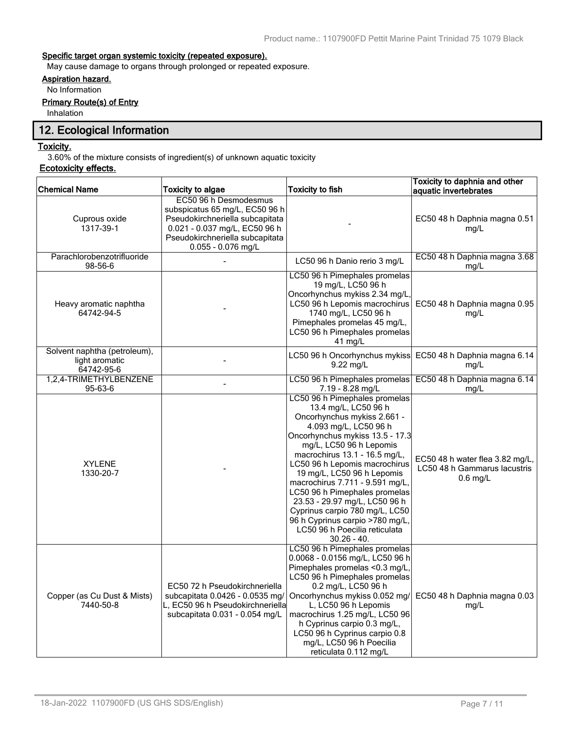## **Specific target organ systemic toxicity (repeated exposure).**

May cause damage to organs through prolonged or repeated exposure.

# **Aspiration hazard.**

No Information

# **Primary Route(s) of Entry**

Inhalation

# **12. Ecological Information**

#### **Toxicity.**

3.60% of the mixture consists of ingredient(s) of unknown aquatic toxicity

# **Ecotoxicity effects.**

| <b>Chemical Name</b>                                         | <b>Toxicity to algae</b>                                                                                                                                                             | <b>Toxicity to fish</b>                                                                                                                                                                                                                                                                                                                                                                                                                                                                                 | Toxicity to daphnia and other<br>aquatic invertebrates                        |
|--------------------------------------------------------------|--------------------------------------------------------------------------------------------------------------------------------------------------------------------------------------|---------------------------------------------------------------------------------------------------------------------------------------------------------------------------------------------------------------------------------------------------------------------------------------------------------------------------------------------------------------------------------------------------------------------------------------------------------------------------------------------------------|-------------------------------------------------------------------------------|
| Cuprous oxide<br>1317-39-1                                   | EC50 96 h Desmodesmus<br>subspicatus 65 mg/L, EC50 96 h<br>Pseudokirchneriella subcapitata<br>0.021 - 0.037 mg/L, EC50 96 h<br>Pseudokirchneriella subcapitata<br>0.055 - 0.076 mg/L |                                                                                                                                                                                                                                                                                                                                                                                                                                                                                                         | EC50 48 h Daphnia magna 0.51<br>mg/L                                          |
| Parachlorobenzotrifluoride<br>98-56-6                        |                                                                                                                                                                                      | LC50 96 h Danio rerio 3 mg/L                                                                                                                                                                                                                                                                                                                                                                                                                                                                            | EC50 48 h Daphnia magna 3.68<br>mg/L                                          |
| Heavy aromatic naphtha<br>64742-94-5                         |                                                                                                                                                                                      | LC50 96 h Pimephales promelas<br>19 mg/L, LC50 96 h<br>Oncorhynchus mykiss 2.34 mg/L<br>LC50 96 h Lepomis macrochirus<br>1740 mg/L, LC50 96 h<br>Pimephales promelas 45 mg/L,<br>LC50 96 h Pimephales promelas<br>41 mg/L                                                                                                                                                                                                                                                                               | EC50 48 h Daphnia magna 0.95<br>mg/L                                          |
| Solvent naphtha (petroleum),<br>light aromatic<br>64742-95-6 |                                                                                                                                                                                      | LC50 96 h Oncorhynchus mykiss<br>9.22 mg/L                                                                                                                                                                                                                                                                                                                                                                                                                                                              | EC50 48 h Daphnia magna 6.14<br>mg/L                                          |
| 1,2,4-TRIMETHYLBENZENE<br>95-63-6                            |                                                                                                                                                                                      | LC50 96 h Pimephales promelas<br>7.19 - 8.28 mg/L                                                                                                                                                                                                                                                                                                                                                                                                                                                       | EC50 48 h Daphnia magna 6.14<br>mg/L                                          |
| <b>XYLENE</b><br>1330-20-7                                   |                                                                                                                                                                                      | LC50 96 h Pimephales promelas<br>13.4 mg/L, LC50 96 h<br>Oncorhynchus mykiss 2.661 -<br>4.093 mg/L, LC50 96 h<br>Oncorhynchus mykiss 13.5 - 17.3<br>mg/L, LC50 96 h Lepomis<br>macrochirus 13.1 - 16.5 mg/L,<br>LC50 96 h Lepomis macrochirus<br>19 mg/L, LC50 96 h Lepomis<br>macrochirus 7.711 - 9.591 mg/L,<br>LC50 96 h Pimephales promelas<br>23.53 - 29.97 mg/L, LC50 96 h<br>Cyprinus carpio 780 mg/L, LC50<br>96 h Cyprinus carpio >780 mg/L,<br>LC50 96 h Poecilia reticulata<br>$30.26 - 40.$ | EC50 48 h water flea 3.82 mg/L,<br>LC50 48 h Gammarus lacustris<br>$0.6$ mg/L |
| Copper (as Cu Dust & Mists)<br>7440-50-8                     | EC50 72 h Pseudokirchneriella<br>subcapitata 0.0426 - 0.0535 mg/<br>L, EC50 96 h Pseudokirchneriella<br>subcapitata 0.031 - 0.054 mg/L                                               | LC50 96 h Pimephales promelas<br>0.0068 - 0.0156 mg/L, LC50 96 h<br>Pimephales promelas <0.3 mg/L,<br>LC50 96 h Pimephales promelas<br>0.2 mg/L, LC50 96 h<br>Oncorhynchus mykiss 0.052 mg/<br>L, LC50 96 h Lepomis<br>macrochirus 1.25 mg/L, LC50 96<br>h Cyprinus carpio 0.3 mg/L,<br>LC50 96 h Cyprinus carpio 0.8<br>mg/L, LC50 96 h Poecilia<br>reticulata 0.112 mg/L                                                                                                                              | EC50 48 h Daphnia magna 0.03<br>mq/L                                          |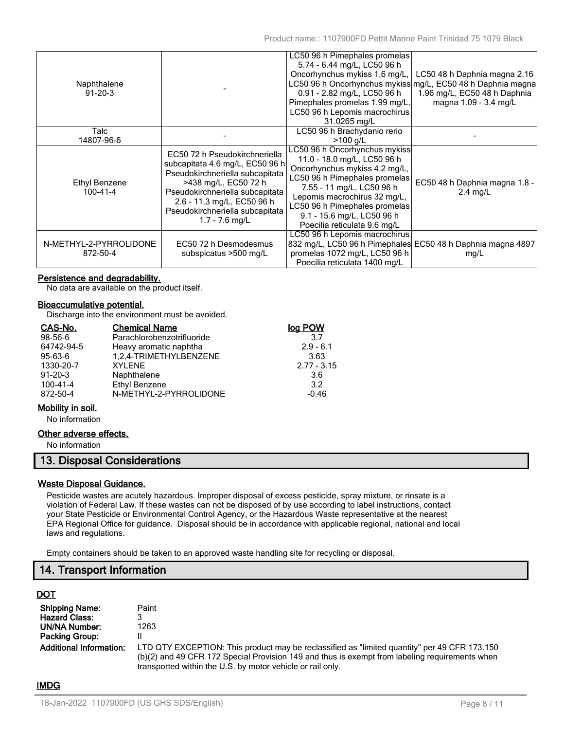| Naphthalene<br>$91 - 20 - 3$       |                                                                                                                                                                                                                                                   | LC50 96 h Pimephales promelas<br>5.74 - 6.44 mg/L, LC50 96 h<br>Oncorhynchus mykiss 1.6 mg/L,<br>0.91 - 2.82 mg/L, LC50 96 h<br>Pimephales promelas 1.99 mg/L,<br>LC50 96 h Lepomis macrochirus<br>31.0265 mg/L                                                                            | LC50 48 h Daphnia magna 2.16<br>LC50 96 h Oncorhynchus mykiss mg/L, EC50 48 h Daphnia magna<br>1.96 mg/L, EC50 48 h Daphnia<br>magna 1.09 - 3.4 mg/L |
|------------------------------------|---------------------------------------------------------------------------------------------------------------------------------------------------------------------------------------------------------------------------------------------------|--------------------------------------------------------------------------------------------------------------------------------------------------------------------------------------------------------------------------------------------------------------------------------------------|------------------------------------------------------------------------------------------------------------------------------------------------------|
| Talc<br>14807-96-6                 |                                                                                                                                                                                                                                                   | LC50 96 h Brachydanio rerio<br>$>100$ g/L                                                                                                                                                                                                                                                  |                                                                                                                                                      |
| Ethyl Benzene<br>100-41-4          | EC50 72 h Pseudokirchneriella<br>subcapitata 4.6 mg/L, EC50 96 h<br>Pseudokirchneriella subcapitata<br>>438 mg/L, EC50 72 h<br>Pseudokirchneriella subcapitata<br>2.6 - 11.3 mg/L, EC50 96 h<br>Pseudokirchneriella subcapitata<br>1.7 - 7.6 mg/L | LC50 96 h Oncorhynchus mykiss<br>11.0 - 18.0 mg/L, LC50 96 h<br>Oncorhynchus mykiss 4.2 mg/L,<br>LC50 96 h Pimephales promelas<br>7.55 - 11 mg/L, LC50 96 h<br>Lepomis macrochirus 32 mg/L,<br>LC50 96 h Pimephales promelas<br>9.1 - 15.6 mg/L, LC50 96 h<br>Poecilia reticulata 9.6 mg/L | EC50 48 h Daphnia magna 1.8 -<br>$2.4$ mg/L                                                                                                          |
| N-METHYL-2-PYRROLIDONE<br>872-50-4 | EC50 72 h Desmodesmus<br>subspicatus >500 mg/L                                                                                                                                                                                                    | LC50 96 h Lepomis macrochirus<br>promelas 1072 mg/L, LC50 96 h<br>Poecilia reticulata 1400 mg/L                                                                                                                                                                                            | 832 mg/L, LC50 96 h Pimephales EC50 48 h Daphnia magna 4897<br>mg/L                                                                                  |

## **Persistence and degradability.**

No data are available on the product itself.

#### **Bioaccumulative potential.**

Discharge into the environment must be avoided.

| CAS-No.       | <b>Chemical Name</b>       | log POW       |
|---------------|----------------------------|---------------|
| 98-56-6       | Parachlorobenzotrifluoride | 37            |
| 64742-94-5    | Heavy aromatic naphtha     | $2.9 - 6.1$   |
| 95-63-6       | 1,2,4-TRIMETHYLBENZENE     | 3.63          |
| 1330-20-7     | <b>XYLENE</b>              | $2.77 - 3.15$ |
| $91 - 20 - 3$ | Naphthalene                | 3.6           |
| 100-41-4      | <b>Ethyl Benzene</b>       | 3.2           |
| 872-50-4      | N-METHYL-2-PYRROLIDONE     | $-0.46$       |

#### **Mobility in soil.**

No information

## **Other adverse effects.**

No information

## **13. Disposal Considerations**

## **Waste Disposal Guidance.**

Pesticide wastes are acutely hazardous. Improper disposal of excess pesticide, spray mixture, or rinsate is a violation of Federal Law. If these wastes can not be disposed of by use according to label instructions, contact your State Pesticide or Environmental Control Agency, or the Hazardous Waste representative at the nearest EPA Regional Office for guidance. Disposal should be in accordance with applicable regional, national and local laws and regulations.

Empty containers should be taken to an approved waste handling site for recycling or disposal.

# **14. Transport Information**

# **DOT**

| <b>Shipping Name:</b>          | Paint                                                                                                                                                                                                                                                        |
|--------------------------------|--------------------------------------------------------------------------------------------------------------------------------------------------------------------------------------------------------------------------------------------------------------|
| <b>Hazard Class:</b>           |                                                                                                                                                                                                                                                              |
| UN/NA Number:                  | 1263                                                                                                                                                                                                                                                         |
| <b>Packing Group:</b>          |                                                                                                                                                                                                                                                              |
| <b>Additional Information:</b> | LTD QTY EXCEPTION: This product may be reclassified as "limited quantity" per 49 CFR 173.150<br>(b)(2) and 49 CFR 172 Special Provision 149 and thus is exempt from labeling requirements when<br>transported within the U.S. by motor vehicle or rail only. |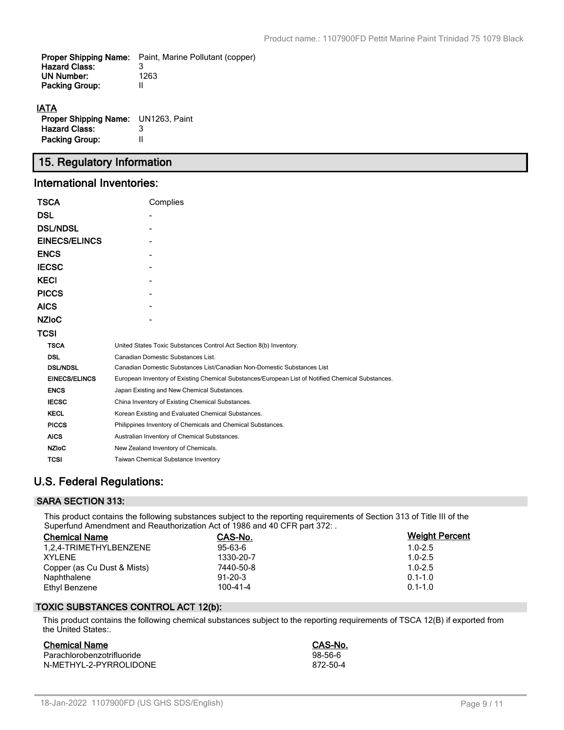| <b>Proper Shipping Name:</b> | Paint, Marine Pollutant (copper) |
|------------------------------|----------------------------------|
| <b>Hazard Class:</b>         |                                  |
| UN Number:                   | 1263                             |
| <b>Packing Group:</b>        |                                  |
|                              |                                  |
| <b>IATA</b>                  |                                  |

| ,,,,,                                      |   |
|--------------------------------------------|---|
| <b>Proper Shipping Name:</b> UN1263, Paint |   |
| <b>Hazard Class:</b>                       | З |
| <b>Packing Group:</b>                      | Ш |

# **15. Regulatory Information**

# **International Inventories:**

| TSCA                 | Complies                                                                                          |  |  |  |
|----------------------|---------------------------------------------------------------------------------------------------|--|--|--|
| <b>DSL</b>           |                                                                                                   |  |  |  |
| <b>DSL/NDSL</b>      |                                                                                                   |  |  |  |
| <b>EINECS/ELINCS</b> |                                                                                                   |  |  |  |
| <b>ENCS</b>          |                                                                                                   |  |  |  |
| <b>IECSC</b>         |                                                                                                   |  |  |  |
| <b>KECI</b>          |                                                                                                   |  |  |  |
| <b>PICCS</b>         |                                                                                                   |  |  |  |
| <b>AICS</b>          |                                                                                                   |  |  |  |
| <b>NZIoC</b>         |                                                                                                   |  |  |  |
| TCSI                 |                                                                                                   |  |  |  |
| <b>TSCA</b>          | United States Toxic Substances Control Act Section 8(b) Inventory.                                |  |  |  |
| <b>DSL</b>           | Canadian Domestic Substances List.                                                                |  |  |  |
| <b>DSL/NDSL</b>      | Canadian Domestic Substances List/Canadian Non-Domestic Substances List                           |  |  |  |
| <b>EINECS/ELINCS</b> | European Inventory of Existing Chemical Substances/European List of Notified Chemical Substances. |  |  |  |
| <b>ENCS</b>          | Japan Existing and New Chemical Substances.                                                       |  |  |  |
| <b>IECSC</b>         | China Inventory of Existing Chemical Substances.                                                  |  |  |  |
| <b>KECL</b>          | Korean Existing and Evaluated Chemical Substances.                                                |  |  |  |
| <b>PICCS</b>         | Philippines Inventory of Chemicals and Chemical Substances.                                       |  |  |  |
| <b>AICS</b>          | Australian Inventory of Chemical Substances.                                                      |  |  |  |
| <b>NZIOC</b>         | New Zealand Inventory of Chemicals.                                                               |  |  |  |
| <b>TCSI</b>          | <b>Taiwan Chemical Substance Inventory</b>                                                        |  |  |  |

# **U.S. Federal Regulations:**

# **SARA SECTION 313:**

This product contains the following substances subject to the reporting requirements of Section 313 of Title III of the Superfund Amendment and Reauthorization Act of 1986 and 40 CFR part 372: .

| <b>Chemical Name</b>        | CAS-No.        | <b>Weight Percent</b> |
|-----------------------------|----------------|-----------------------|
| 1.2.4-TRIMETHYLBENZENE      | $95 - 63 - 6$  | $1.0 - 2.5$           |
| <b>XYLENE</b>               | 1330-20-7      | $1.0 - 2.5$           |
| Copper (as Cu Dust & Mists) | 7440-50-8      | $1.0 - 2.5$           |
| Naphthalene                 | $91 - 20 - 3$  | $0.1 - 1.0$           |
| Ethyl Benzene               | $100 - 41 - 4$ | $0.1 - 1.0$           |

# **TOXIC SUBSTANCES CONTROL ACT 12(b):**

This product contains the following chemical substances subject to the reporting requirements of TSCA 12(B) if exported from the United States:.

## **Chemical Name CAS-No.**

| Parachlorobenzotrifluoride | 98-56-6  |
|----------------------------|----------|
| N-METHYL-2-PYRROLIDONE     | 872-50-4 |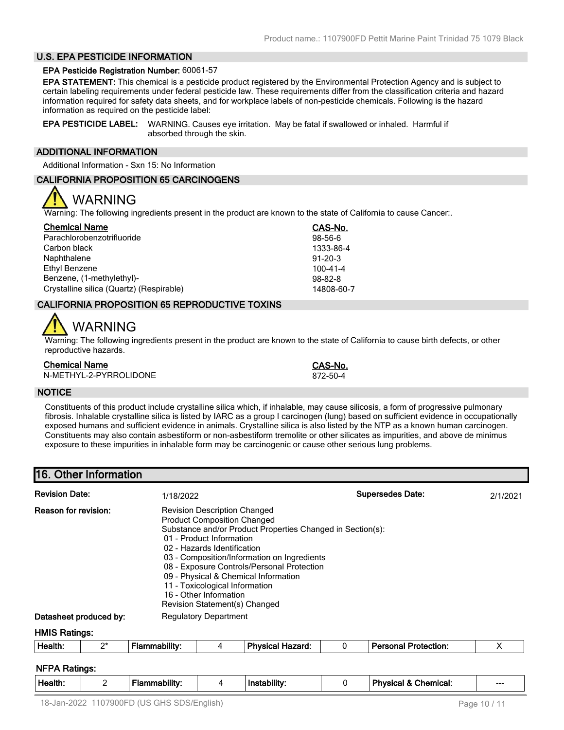# **U.S. EPA PESTICIDE INFORMATION**

#### **EPA Pesticide Registration Number:** 60061-57

**EPA STATEMENT:** This chemical is a pesticide product registered by the Environmental Protection Agency and is subject to certain labeling requirements under federal pesticide law. These requirements differ from the classification criteria and hazard information required for safety data sheets, and for workplace labels of non-pesticide chemicals. Following is the hazard information as required on the pesticide label:

**EPA PESTICIDE LABEL:** WARNING. Causes eye irritation. May be fatal if swallowed or inhaled. Harmful if absorbed through the skin.

## **ADDITIONAL INFORMATION**

Additional Information - Sxn 15: No Information

#### **CALIFORNIA PROPOSITION 65 CARCINOGENS**

# WARNING

Warning: The following ingredients present in the product are known to the state of California to cause Cancer:.

| <b>Chemical Name</b>                     | CAS-No.        |
|------------------------------------------|----------------|
| Parachlorobenzotrifluoride               | $98-56-6$      |
| Carbon black                             | 1333-86-4      |
| Naphthalene                              | $91 - 20 - 3$  |
| Ethyl Benzene                            | $100 - 41 - 4$ |
| Benzene, (1-methylethyl)-                | $98 - 82 - 8$  |
| Crystalline silica (Quartz) (Respirable) | 14808-60-7     |

## **CALIFORNIA PROPOSITION 65 REPRODUCTIVE TOXINS**

# WARNING

Warning: The following ingredients present in the product are known to the state of California to cause birth defects, or other reproductive hazards.

| <b>Chemical Name</b>   | <b>CAS-No</b> |
|------------------------|---------------|
| N-METHYL-2-PYRROLIDONE | 872-50-4      |

**Chemical Name CAS-No.**

#### **NOTICE**

Constituents of this product include crystalline silica which, if inhalable, may cause silicosis, a form of progressive pulmonary fibrosis. Inhalable crystalline silica is listed by IARC as a group I carcinogen (lung) based on sufficient evidence in occupationally exposed humans and sufficient evidence in animals. Crystalline silica is also listed by the NTP as a known human carcinogen. Constituents may also contain asbestiform or non-asbestiform tremolite or other silicates as impurities, and above de minimus exposure to these impurities in inhalable form may be carcinogenic or cause other serious lung problems.

# **16. Other Information**

| <b>Revision Date:</b>                                                                                                                                                                                                                                                                                                                                                                                                                                        |       | 1/18/2022            |   |                         |   | <b>Supersedes Date:</b>     | 2/1/2021 |
|--------------------------------------------------------------------------------------------------------------------------------------------------------------------------------------------------------------------------------------------------------------------------------------------------------------------------------------------------------------------------------------------------------------------------------------------------------------|-------|----------------------|---|-------------------------|---|-----------------------------|----------|
| Reason for revision:<br><b>Revision Description Changed</b><br><b>Product Composition Changed</b><br>Substance and/or Product Properties Changed in Section(s):<br>01 - Product Information<br>02 - Hazards Identification<br>03 - Composition/Information on Ingredients<br>08 - Exposure Controls/Personal Protection<br>09 - Physical & Chemical Information<br>11 - Toxicological Information<br>16 - Other Information<br>Revision Statement(s) Changed |       |                      |   |                         |   |                             |          |
| <b>Regulatory Department</b><br>Datasheet produced by:                                                                                                                                                                                                                                                                                                                                                                                                       |       |                      |   |                         |   |                             |          |
| <b>HMIS Ratings:</b>                                                                                                                                                                                                                                                                                                                                                                                                                                         |       |                      |   |                         |   |                             |          |
| Health:                                                                                                                                                                                                                                                                                                                                                                                                                                                      | $2^*$ | <b>Flammability:</b> | 4 | <b>Physical Hazard:</b> | 0 | <b>Personal Protection:</b> | Х        |

## **NFPA Ratings:**

|  | Health. | - | <br>. nility :<br>nar |  | .<br>Instability. |  | Physica<br>Chemical: | ---<br>____ |
|--|---------|---|-----------------------|--|-------------------|--|----------------------|-------------|
|--|---------|---|-----------------------|--|-------------------|--|----------------------|-------------|